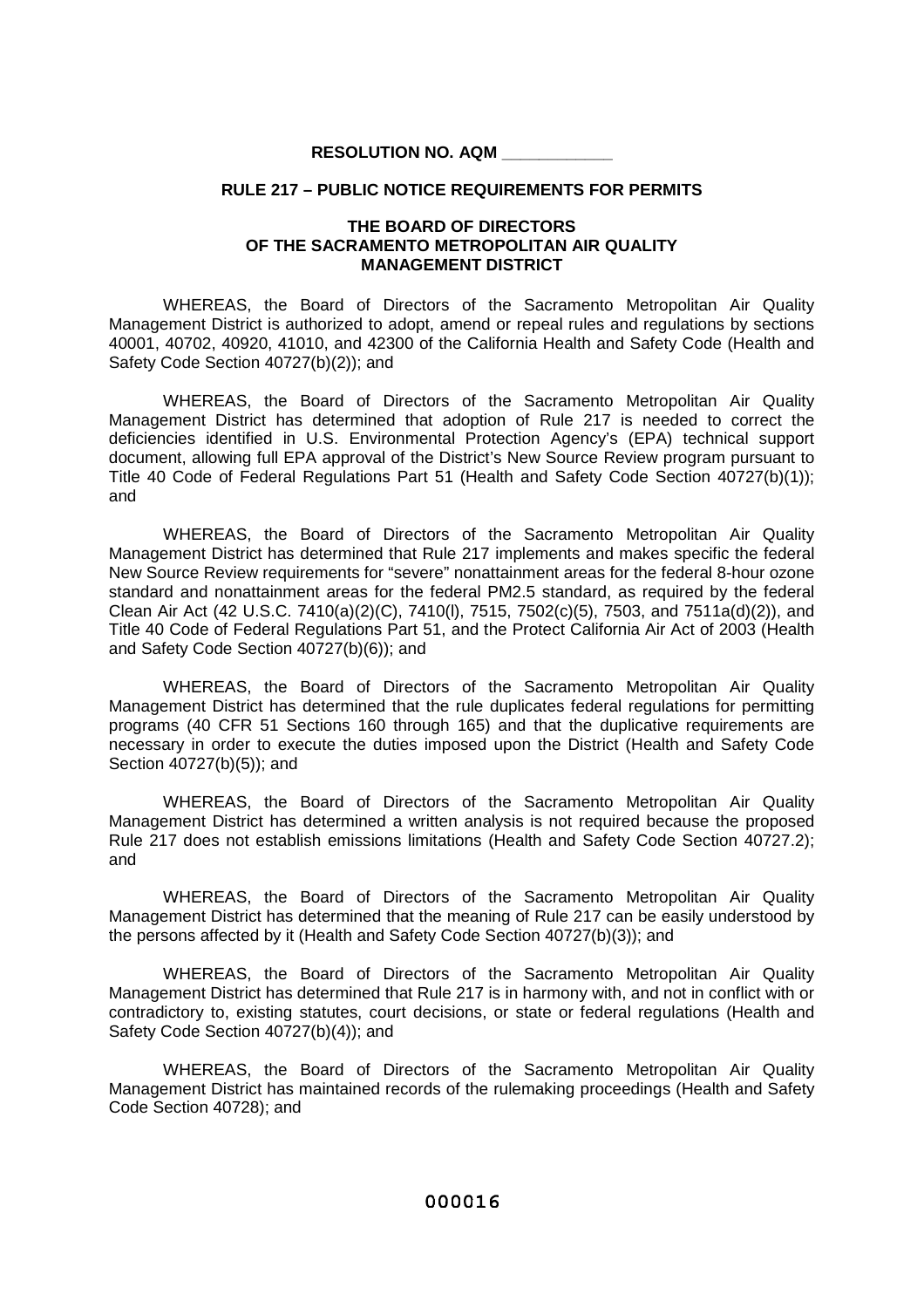## **RESOLUTION NO. AQM \_\_\_\_\_\_\_\_\_\_\_\_**

## **RULE 217 – PUBLIC NOTICE REQUIREMENTS FOR PERMITS**

## **THE BOARD OF DIRECTORS OF THE SACRAMENTO METROPOLITAN AIR QUALITY MANAGEMENT DISTRICT**

WHEREAS, the Board of Directors of the Sacramento Metropolitan Air Quality Management District is authorized to adopt, amend or repeal rules and regulations by sections 40001, 40702, 40920, 41010, and 42300 of the California Health and Safety Code (Health and Safety Code Section 40727(b)(2)); and

WHEREAS, the Board of Directors of the Sacramento Metropolitan Air Quality Management District has determined that adoption of Rule 217 is needed to correct the deficiencies identified in U.S. Environmental Protection Agency's (EPA) technical support document, allowing full EPA approval of the District's New Source Review program pursuant to Title 40 Code of Federal Regulations Part 51 (Health and Safety Code Section 40727(b)(1)); and

WHEREAS, the Board of Directors of the Sacramento Metropolitan Air Quality Management District has determined that Rule 217 implements and makes specific the federal New Source Review requirements for "severe" nonattainment areas for the federal 8-hour ozone standard and nonattainment areas for the federal PM2.5 standard, as required by the federal Clean Air Act (42 U.S.C. 7410(a)(2)(C), 7410(l), 7515, 7502(c)(5), 7503, and 7511a(d)(2)), and Title 40 Code of Federal Regulations Part 51, and the Protect California Air Act of 2003 (Health and Safety Code Section 40727(b)(6)); and

WHEREAS, the Board of Directors of the Sacramento Metropolitan Air Quality Management District has determined that the rule duplicates federal regulations for permitting programs (40 CFR 51 Sections 160 through 165) and that the duplicative requirements are necessary in order to execute the duties imposed upon the District (Health and Safety Code Section 40727(b)(5)); and

WHEREAS, the Board of Directors of the Sacramento Metropolitan Air Quality Management District has determined a written analysis is not required because the proposed Rule 217 does not establish emissions limitations (Health and Safety Code Section 40727.2); and

WHEREAS, the Board of Directors of the Sacramento Metropolitan Air Quality Management District has determined that the meaning of Rule 217 can be easily understood by the persons affected by it (Health and Safety Code Section 40727(b)(3)); and

WHEREAS, the Board of Directors of the Sacramento Metropolitan Air Quality Management District has determined that Rule 217 is in harmony with, and not in conflict with or contradictory to, existing statutes, court decisions, or state or federal regulations (Health and Safety Code Section 40727(b)(4)); and

WHEREAS, the Board of Directors of the Sacramento Metropolitan Air Quality Management District has maintained records of the rulemaking proceedings (Health and Safety Code Section 40728); and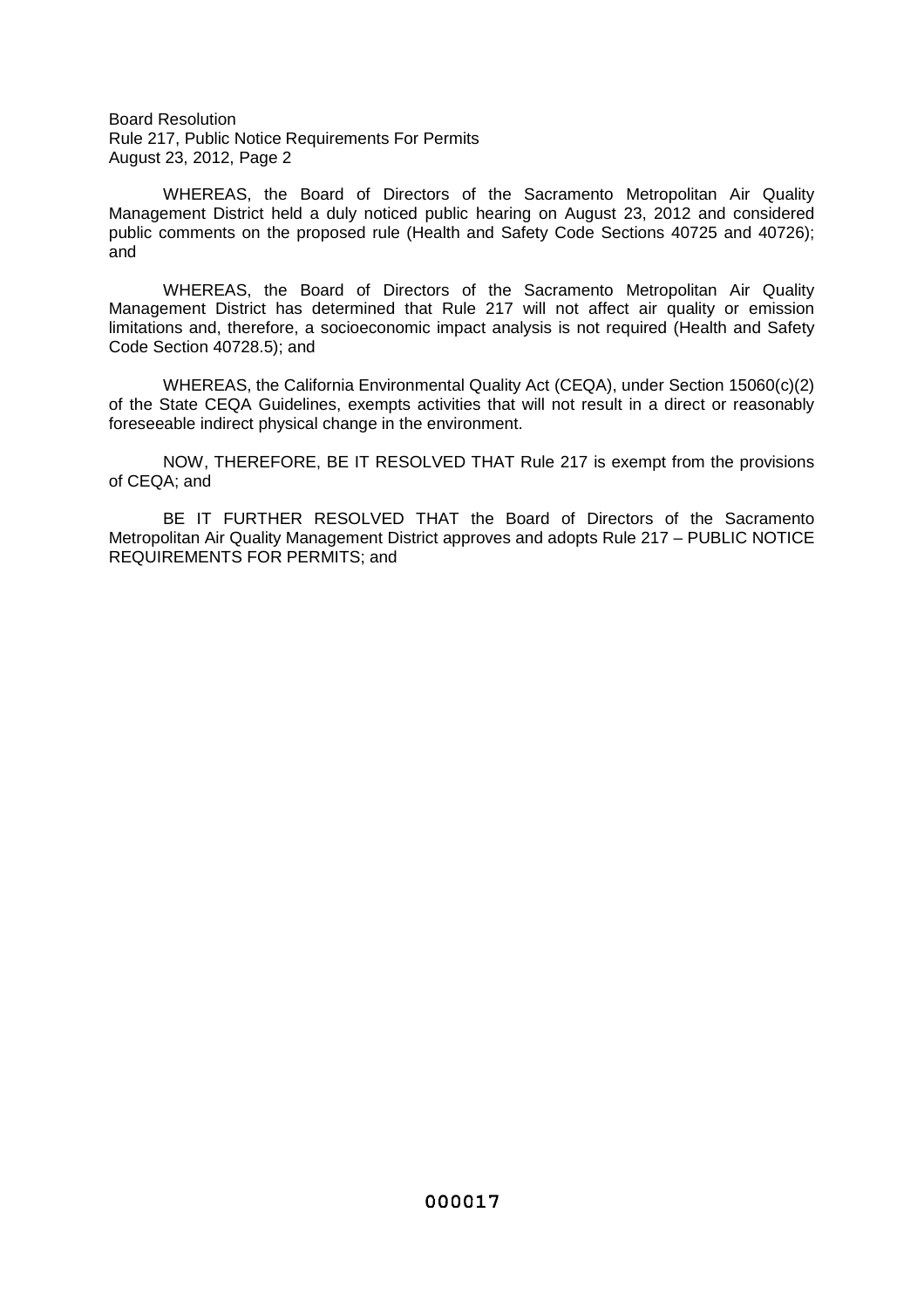Board Resolution Rule 217, Public Notice Requirements For Permits August 23, 2012, Page 2

WHEREAS, the Board of Directors of the Sacramento Metropolitan Air Quality Management District held a duly noticed public hearing on August 23, 2012 and considered public comments on the proposed rule (Health and Safety Code Sections 40725 and 40726); and

WHEREAS, the Board of Directors of the Sacramento Metropolitan Air Quality Management District has determined that Rule 217 will not affect air quality or emission limitations and, therefore, a socioeconomic impact analysis is not required (Health and Safety Code Section 40728.5); and

WHEREAS, the California Environmental Quality Act (CEQA), under Section 15060(c)(2) of the State CEQA Guidelines, exempts activities that will not result in a direct or reasonably foreseeable indirect physical change in the environment.

NOW, THEREFORE, BE IT RESOLVED THAT Rule 217 is exempt from the provisions of CEQA; and

BE IT FURTHER RESOLVED THAT the Board of Directors of the Sacramento Metropolitan Air Quality Management District approves and adopts Rule 217 – PUBLIC NOTICE REQUIREMENTS FOR PERMITS; and